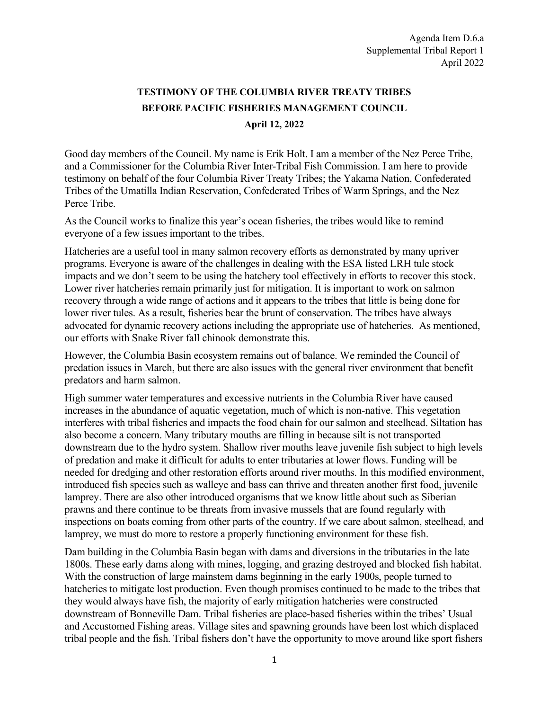## **TESTIMONY OF THE COLUMBIA RIVER TREATY TRIBES BEFORE PACIFIC FISHERIES MANAGEMENT COUNCIL April 12, 2022**

Good day members of the Council. My name is Erik Holt. I am a member of the Nez Perce Tribe, and a Commissioner for the Columbia River Inter-Tribal Fish Commission. I am here to provide testimony on behalf of the four Columbia River Treaty Tribes; the Yakama Nation, Confederated Tribes of the Umatilla Indian Reservation, Confederated Tribes of Warm Springs, and the Nez Perce Tribe.

As the Council works to finalize this year's ocean fisheries, the tribes would like to remind everyone of a few issues important to the tribes.

Hatcheries are a useful tool in many salmon recovery efforts as demonstrated by many upriver programs. Everyone is aware of the challenges in dealing with the ESA listed LRH tule stock impacts and we don't seem to be using the hatchery tool effectively in efforts to recover this stock. Lower river hatcheries remain primarily just for mitigation. It is important to work on salmon recovery through a wide range of actions and it appears to the tribes that little is being done for lower river tules. As a result, fisheries bear the brunt of conservation. The tribes have always advocated for dynamic recovery actions including the appropriate use of hatcheries. As mentioned, our efforts with Snake River fall chinook demonstrate this.

However, the Columbia Basin ecosystem remains out of balance. We reminded the Council of predation issues in March, but there are also issues with the general river environment that benefit predators and harm salmon.

High summer water temperatures and excessive nutrients in the Columbia River have caused increases in the abundance of aquatic vegetation, much of which is non-native. This vegetation interferes with tribal fisheries and impacts the food chain for our salmon and steelhead. Siltation has also become a concern. Many tributary mouths are filling in because silt is not transported downstream due to the hydro system. Shallow river mouths leave juvenile fish subject to high levels of predation and make it difficult for adults to enter tributaries at lower flows. Funding will be needed for dredging and other restoration efforts around river mouths. In this modified environment, introduced fish species such as walleye and bass can thrive and threaten another first food, juvenile lamprey. There are also other introduced organisms that we know little about such as Siberian prawns and there continue to be threats from invasive mussels that are found regularly with inspections on boats coming from other parts of the country. If we care about salmon, steelhead, and lamprey, we must do more to restore a properly functioning environment for these fish.

Dam building in the Columbia Basin began with dams and diversions in the tributaries in the late 1800s. These early dams along with mines, logging, and grazing destroyed and blocked fish habitat. With the construction of large mainstem dams beginning in the early 1900s, people turned to hatcheries to mitigate lost production. Even though promises continued to be made to the tribes that they would always have fish, the majority of early mitigation hatcheries were constructed downstream of Bonneville Dam. Tribal fisheries are place-based fisheries within the tribes' Usual and Accustomed Fishing areas. Village sites and spawning grounds have been lost which displaced tribal people and the fish. Tribal fishers don't have the opportunity to move around like sport fishers